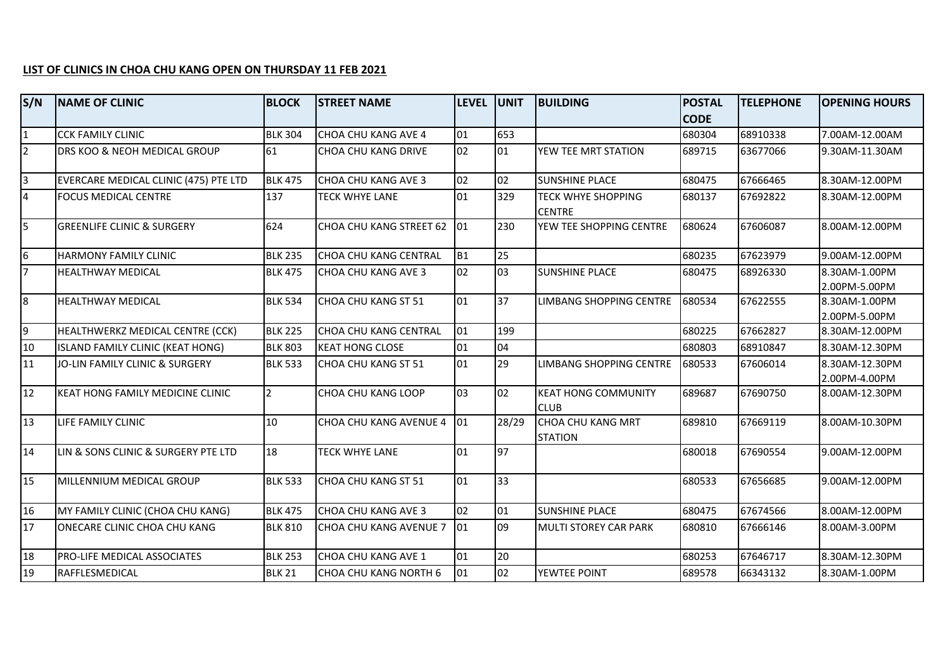## **LIST OF CLINICS IN CHOA CHU KANG OPEN ON THURSDAY 11 FEB 2021**

| S/N             | <b>NAME OF CLINIC</b>                   | <b>BLOCK</b>   | <b>STREET NAME</b>      | <b>LEVEL</b>   | <b>UNIT</b>     | <b>BUILDING</b>                            | <b>POSTAL</b> | <b>TELEPHONE</b> | <b>OPENING HOURS</b>            |
|-----------------|-----------------------------------------|----------------|-------------------------|----------------|-----------------|--------------------------------------------|---------------|------------------|---------------------------------|
|                 |                                         |                |                         |                |                 |                                            | <b>CODE</b>   |                  |                                 |
| $\overline{1}$  | <b>CCK FAMILY CLINIC</b>                | <b>BLK 304</b> | CHOA CHU KANG AVE 4     | 01             | 653             |                                            | 680304        | 68910338         | 7.00AM-12.00AM                  |
| $\overline{2}$  | DRS KOO & NEOH MEDICAL GROUP            | 61             | CHOA CHU KANG DRIVE     | 02             | 01              | YEW TEE MRT STATION                        | 689715        | 63677066         | 9.30AM-11.30AM                  |
| $\overline{3}$  | EVERCARE MEDICAL CLINIC (475) PTE LTD   | <b>BLK 475</b> | CHOA CHU KANG AVE 3     | 02             | 02              | <b>SUNSHINE PLACE</b>                      | 680475        | 67666465         | 8.30AM-12.00PM                  |
| $\overline{4}$  | <b>FOCUS MEDICAL CENTRE</b>             | 137            | <b>TECK WHYE LANE</b>   | 101            | 329             | <b>TECK WHYE SHOPPING</b><br><b>CENTRE</b> | 680137        | 67692822         | 8.30AM-12.00PM                  |
| $\overline{5}$  | <b>GREENLIFE CLINIC &amp; SURGERY</b>   | 624            | CHOA CHU KANG STREET 62 | 01             | 230             | YEW TEE SHOPPING CENTRE                    | 680624        | 67606087         | 8.00AM-12.00PM                  |
| 6               | <b>HARMONY FAMILY CLINIC</b>            | <b>BLK 235</b> | CHOA CHU KANG CENTRAL   | B <sub>1</sub> | 25              |                                            | 680235        | 67623979         | 9.00AM-12.00PM                  |
| $\overline{7}$  | <b>HEALTHWAY MEDICAL</b>                | <b>BLK 475</b> | CHOA CHU KANG AVE 3     | 02             | 03              | <b>SUNSHINE PLACE</b>                      | 680475        | 68926330         | 8.30AM-1.00PM<br>2.00PM-5.00PM  |
| $\overline{8}$  | <b>HEALTHWAY MEDICAL</b>                | <b>BLK 534</b> | CHOA CHU KANG ST 51     | 01             | 37              | <b>LIMBANG SHOPPING CENTRE</b>             | 680534        | 67622555         | 8.30AM-1.00PM<br>2.00PM-5.00PM  |
| 9               | HEALTHWERKZ MEDICAL CENTRE (CCK)        | <b>BLK 225</b> | CHOA CHU KANG CENTRAL   | 01             | 199             |                                            | 680225        | 67662827         | 8.30AM-12.00PM                  |
| 10              | ISLAND FAMILY CLINIC (KEAT HONG)        | <b>BLK 803</b> | <b>KEAT HONG CLOSE</b>  | 01             | 04              |                                            | 680803        | 68910847         | 8.30AM-12.30PM                  |
| 11              | JO-LIN FAMILY CLINIC & SURGERY          | <b>BLK 533</b> | CHOA CHU KANG ST 51     | 01             | 29              | LIMBANG SHOPPING CENTRE                    | 680533        | 67606014         | 8.30AM-12.30PM<br>2.00PM-4.00PM |
| 12              | <b>KEAT HONG FAMILY MEDICINE CLINIC</b> | <u> 2</u>      | CHOA CHU KANG LOOP      | Iоз            | 02              | <b>KEAT HONG COMMUNITY</b><br><b>CLUB</b>  | 689687        | 67690750         | 8.00AM-12.30PM                  |
| 13              | LIFE FAMILY CLINIC                      | 10             | CHOA CHU KANG AVENUE 4  | 01             | 28/29           | CHOA CHU KANG MRT<br><b>STATION</b>        | 689810        | 67669119         | 8.00AM-10.30PM                  |
| 14              | LIN & SONS CLINIC & SURGERY PTE LTD     | 18             | TECK WHYE LANE          | 101            | $\overline{97}$ |                                            | 680018        | 67690554         | 9.00AM-12.00PM                  |
| $\overline{15}$ | MILLENNIUM MEDICAL GROUP                | <b>BLK 533</b> | CHOA CHU KANG ST 51     | 01             | 33              |                                            | 680533        | 67656685         | 9.00AM-12.00PM                  |
| 16              | MY FAMILY CLINIC (CHOA CHU KANG)        | <b>BLK 475</b> | CHOA CHU KANG AVE 3     | 02             | 01              | <b>SUNSHINE PLACE</b>                      | 680475        | 67674566         | 8.00AM-12.00PM                  |
| 17              | ONECARE CLINIC CHOA CHU KANG            | <b>BLK 810</b> | CHOA CHU KANG AVENUE 7  | 01             | 09              | <b>MULTI STOREY CAR PARK</b>               | 680810        | 67666146         | 8.00AM-3.00PM                   |
| 18              | <b>PRO-LIFE MEDICAL ASSOCIATES</b>      | <b>BLK 253</b> | CHOA CHU KANG AVE 1     | 01             | 20              |                                            | 680253        | 67646717         | 8.30AM-12.30PM                  |
| 19              | RAFFLESMEDICAL                          | <b>BLK 21</b>  | CHOA CHU KANG NORTH 6   | 01             | 02              | YEWTEE POINT                               | 689578        | 66343132         | 8.30AM-1.00PM                   |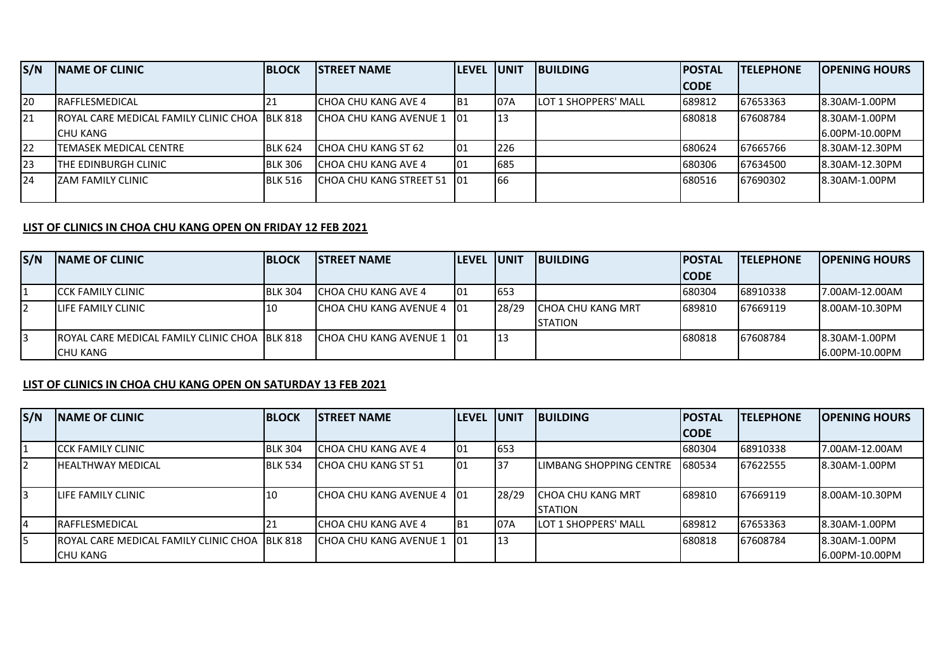| S/N        | <b>INAME OF CLINIC</b>                                 | <b>IBLOCK</b>  | <b>ISTREET NAME</b>      | <b>ILEVEL IUNIT</b> |     | <b>IBUILDING</b>             | <b>IPOSTAL</b> | <b>ITELEPHONE</b> | <b>IOPENING HOURS</b> |
|------------|--------------------------------------------------------|----------------|--------------------------|---------------------|-----|------------------------------|----------------|-------------------|-----------------------|
|            |                                                        |                |                          |                     |     |                              | <b>CODE</b>    |                   |                       |
| 20         | <b>IRAFFLESMEDICAL</b>                                 | 21             | ICHOA CHU KANG AVE 4     | IB1                 | 07A | <b>ILOT 1 SHOPPERS' MALL</b> | 689812         | 67653363          | <b>8.30AM-1.00PM</b>  |
| <b>121</b> | <b>IROYAL CARE MEDICAL FAMILY CLINIC CHOA IBLK 818</b> |                | ICHOA CHU KANG AVENUE 1  | -101                | 13  |                              | 680818         | 67608784          | <b>8.30AM-1.00PM</b>  |
|            | <b>I</b> CHU KANG                                      |                |                          |                     |     |                              |                |                   | 16.00PM-10.00PM       |
| 22         | ITEMASEK MEDICAL CENTRE                                | <b>BLK 624</b> | ICHOA CHU KANG ST 62     | 101                 | 226 |                              | 680624         | 67665766          | 8.30AM-12.30PM        |
| <b>23</b>  | <b>ITHE EDINBURGH CLINIC</b>                           | <b>BLK 306</b> | ICHOA CHU KANG AVE 4     | 101                 | 685 |                              | 680306         | 67634500          | 8.30AM-12.30PM        |
| 124        | IZAM FAMILY CLINIC                                     | <b>BLK 516</b> | lCHOA CHU KANG STREET 51 | - 101               | 66  |                              | 1680516        | 67690302          | <b>8.30AM-1.00PM</b>  |
|            |                                                        |                |                          |                     |     |                              |                |                   |                       |

## **LIST OF CLINICS IN CHOA CHU KANG OPEN ON FRIDAY 12 FEB 2021**

| S/N | <b>INAME OF CLINIC</b>                                 | <b>BLOCK</b>   | <b>ISTREET NAME</b>         | <b>ILEVEL IUNIT</b> |       | <b>IBUILDING</b>   | <b>IPOSTAL</b> | <b>ITELEPHONE</b> | <b>IOPENING HOURS</b> |
|-----|--------------------------------------------------------|----------------|-----------------------------|---------------------|-------|--------------------|----------------|-------------------|-----------------------|
|     |                                                        |                |                             |                     |       |                    | <b>CODE</b>    |                   |                       |
|     | <b>ICCK FAMILY CLINIC</b>                              | <b>BLK 304</b> | ICHOA CHU KANG AVE 4        | 101                 | 653   |                    | 680304         | 68910338          | 17.00AM-12.00AM       |
| I2  | <b>LIFE FAMILY CLINIC</b>                              | -10            | ICHOA CHU KANG AVENUE 4 101 |                     | 28/29 | ICHOA CHU KANG MRT | 689810         | 67669119          | 8.00AM-10.30PM        |
|     |                                                        |                |                             |                     |       | <b>ISTATION</b>    |                |                   |                       |
| I3  | <b>IROYAL CARE MEDICAL FAMILY CLINIC CHOA IBLK 818</b> |                | ICHOA CHU KANG AVENUE 1 101 |                     |       |                    | 680818         | 67608784          | 18.30AM-1.00PM        |
|     | <b>ICHU KANG</b>                                       |                |                             |                     |       |                    |                |                   | 6.00PM-10.00PM        |

## **LIST OF CLINICS IN CHOA CHU KANG OPEN ON SATURDAY 13 FEB 2021**

| S/N | <b>INAME OF CLINIC</b>                                 | <b>IBLOCK</b>  | <b>ISTREET NAME</b>         | <b>LEVEL UNIT</b> |       | <b>IBUILDING</b>          | <b>IPOSTAL</b> | <b>TELEPHONE</b> | <b>IOPENING HOURS</b> |
|-----|--------------------------------------------------------|----------------|-----------------------------|-------------------|-------|---------------------------|----------------|------------------|-----------------------|
|     |                                                        |                |                             |                   |       |                           | <b>ICODE</b>   |                  |                       |
|     | <b>ICCK FAMILY CLINIC</b>                              | <b>BLK 304</b> | ICHOA CHU KANG AVE 4        | 01                | 653   |                           | 680304         | 68910338         | 17.00AM-12.00AM       |
|     | <b>IHEALTHWAY MEDICAL</b>                              | <b>BLK 534</b> | ICHOA CHU KANG ST 51        | 01                | 37    | LIMBANG SHOPPING CENTRE   | 1680534        | 67622555         | 8.30AM-1.00PM         |
| 3   | <b>I</b> LIFE FAMILY CLINIC                            | 10             | ICHOA CHU KANG AVENUE 4 101 |                   | 28/29 | <b>ICHOA CHU KANG MRT</b> | 689810         | 67669119         | 8.00AM-10.30PM        |
|     |                                                        |                |                             |                   |       | <b>I</b> STATION          |                |                  |                       |
| 4   | <b>IRAFFLESMEDICAL</b>                                 |                | ICHOA CHU KANG AVE 4        | IB1               | 07A   | LOT 1 SHOPPERS' MALL      | 689812         | 67653363         | 8.30AM-1.00PM         |
| 5   | <b>IROYAL CARE MEDICAL FAMILY CLINIC CHOA IBLK 818</b> |                | ICHOA CHU KANG AVENUE 1     | -101              | l 13  |                           | 680818         | 67608784         | 8.30AM-1.00PM         |
|     | <b>I</b> CHU KANG                                      |                |                             |                   |       |                           |                |                  | 6.00PM-10.00PM        |